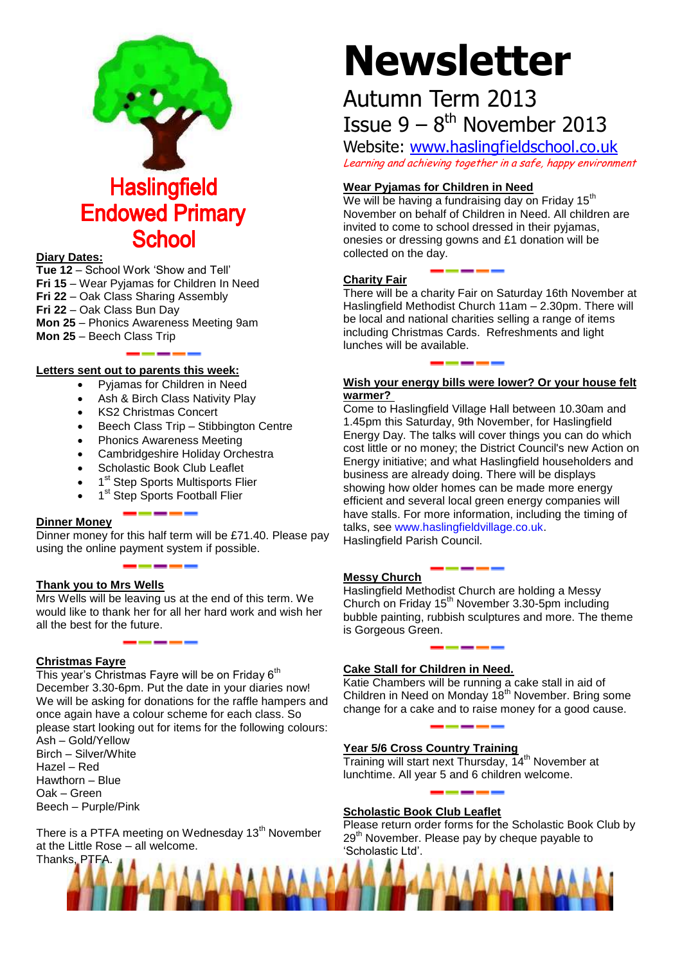

## **Endowed Primary School**

#### **Diary Dates:**

**Tue 12** – School Work 'Show and Tell' **Fri 15** – Wear Pyjamas for Children In Need **Fri 22** – Oak Class Sharing Assembly **Fri 22** – Oak Class Bun Day **Mon 25** – Phonics Awareness Meeting 9am

**Mon 25** – Beech Class Trip

#### **Letters sent out to parents this week:**

- Pyjamas for Children in Need
- Ash & Birch Class Nativity Play
- KS2 Christmas Concert
- Beech Class Trip Stibbington Centre
- Phonics Awareness Meeting
- Cambridgeshire Holiday Orchestra
- Scholastic Book Club Leaflet
- 1<sup>st</sup> Step Sports Multisports Flier
- 1<sup>st</sup> Step Sports Football Flier

#### **Dinner Money**

Dinner money for this half term will be £71.40. Please pay using the online payment system if possible.

#### **Thank you to Mrs Wells**

Mrs Wells will be leaving us at the end of this term. We would like to thank her for all her hard work and wish her all the best for the future.

#### **Christmas Fayre**

This year's Christmas Fayre will be on Friday  $6<sup>th</sup>$ December 3.30-6pm. Put the date in your diaries now! We will be asking for donations for the raffle hampers and once again have a colour scheme for each class. So please start looking out for items for the following colours:

Ash – Gold/Yellow Birch – Silver/White Hazel – Red Hawthorn – Blue Oak – Green Beech – Purple/Pink

There is a PTFA meeting on Wednesday 13<sup>th</sup> November at the Little Rose – all welcome.

# **Newsletter**

### Autumn Term 2013 Issue  $9 - 8$ <sup>th</sup> November 2013

Website: [www.haslingfieldschool.co.uk](http://www.haslingfieldschool.co.uk/) Learning and achieving together in a safe, happy environment

#### **Wear Pyjamas for Children in Need**

We will be having a fundraising day on Friday  $15<sup>th</sup>$ November on behalf of Children in Need. All children are invited to come to school dressed in their pyjamas, onesies or dressing gowns and £1 donation will be collected on the day.

#### **Charity Fair**

There will be a charity Fair on Saturday 16th November at Haslingfield Methodist Church 11am – 2.30pm. There will be local and national charities selling a range of items including Christmas Cards. Refreshments and light lunches will be available.

#### **Wish your energy bills were lower? Or your house felt warmer?**

Come to Haslingfield Village Hall between 10.30am and 1.45pm this Saturday, 9th November, for Haslingfield Energy Day. The talks will cover things you can do which cost little or no money; the District Council's new Action on Energy initiative; and what Haslingfield householders and business are already doing. There will be displays showing how older homes can be made more energy efficient and several local green energy companies will have stalls. For more information, including the timing of talks, see [www.haslingfieldvillage.co.uk.](http://www.haslingfieldvillage.co.uk/)

Haslingfield Parish Council.

#### **Messy Church**

Haslingfield Methodist Church are holding a Messy Church on Friday 15<sup>th</sup> November 3.30-5pm including bubble painting, rubbish sculptures and more. The theme is Gorgeous Green.

#### **Cake Stall for Children in Need.**

Katie Chambers will be running a cake stall in aid of Children in Need on Monday  $18<sup>th</sup>$  November. Bring some change for a cake and to raise money for a good cause.

#### **Year 5/6 Cross Country Training**

Training will start next Thursday, 14<sup>th</sup> November at lunchtime. All year 5 and 6 children welcome.

#### **Scholastic Book Club Leaflet**

Please return order forms for the Scholastic Book Club by 29<sup>th</sup> November. Please pay by cheque payable to 'Scholastic Ltd'.